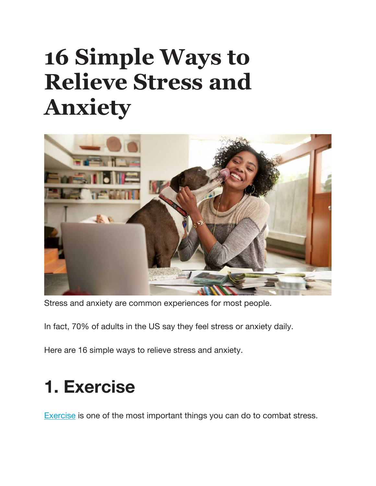# **16 Simple Ways to Relieve Stress and Anxiety**



Stress and anxiety are common experiences for most people.

In fact, 70% of adults in the US say they feel stress or anxiety daily.

Here are 16 simple ways to relieve stress and anxiety.

#### **1. Exercise**

Exercise is one of the most important things you can do to combat stress.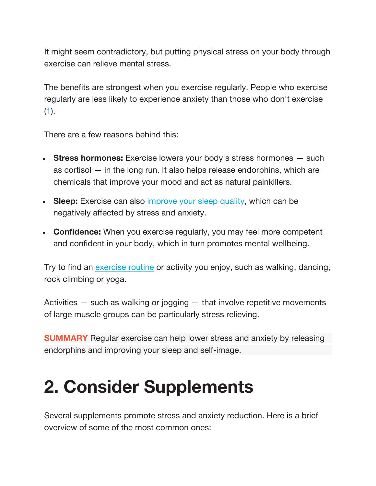It might seem contradictory, but putting physical stress on your body through exercise can relieve mental stress.

The benefits are strongest when you exercise regularly. People who exercise regularly are less likely to experience anxiety than those who don't exercise  $(1).$ 

There are a few reasons behind this:

- **Stress hormones:** Exercise lowers your body's stress hormones such as cortisol — in the long run. It also helps release endorphins, which are chemicals that improve your mood and act as natural painkillers.
- **Sleep:** Exercise can also improve your sleep quality, which can be negatively affected by stress and anxiety.
- **Confidence:** When you exercise regularly, you may feel more competent and confident in your body, which in turn promotes mental wellbeing.

Try to find an exercise routine or activity you enjoy, such as walking, dancing, rock climbing or yoga.

Activities — such as walking or jogging — that involve repetitive movements of large muscle groups can be particularly stress relieving.

**SUMMARY** Regular exercise can help lower stress and anxiety by releasing endorphins and improving your sleep and self-image.

#### **2. Consider Supplements**

Several supplements promote stress and anxiety reduction. Here is a brief overview of some of the most common ones: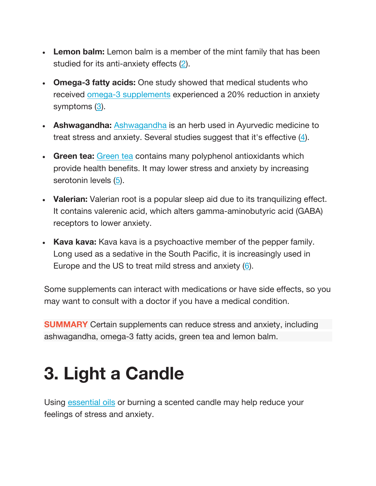- **Lemon balm:** Lemon balm is a member of the mint family that has been studied for its anti-anxiety effects (2).
- **Omega-3 fatty acids:** One study showed that medical students who received omega-3 supplements experienced a 20% reduction in anxiety symptoms  $(3)$ .
- **Ashwagandha:** Ashwagandha is an herb used in Ayurvedic medicine to treat stress and anxiety. Several studies suggest that it's effective (4).
- **Green tea:** Green tea contains many polyphenol antioxidants which provide health benefits. It may lower stress and anxiety by increasing serotonin levels (5).
- **Valerian:** Valerian root is a popular sleep aid due to its tranquilizing effect. It contains valerenic acid, which alters gamma-aminobutyric acid (GABA) receptors to lower anxiety.
- **Kava kava:** Kava kava is a psychoactive member of the pepper family. Long used as a sedative in the South Pacific, it is increasingly used in Europe and the US to treat mild stress and anxiety (6).

Some supplements can interact with medications or have side effects, so you may want to consult with a doctor if you have a medical condition.

**SUMMARY** Certain supplements can reduce stress and anxiety, including ashwagandha, omega-3 fatty acids, green tea and lemon balm.

#### **3. Light a Candle**

Using essential oils or burning a scented candle may help reduce your feelings of stress and anxiety.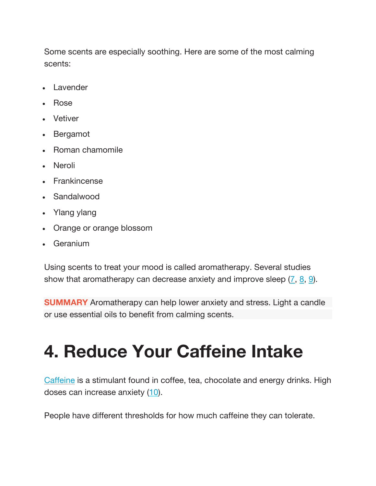Some scents are especially soothing. Here are some of the most calming scents:

- Lavender
- Rose
- **Vetiver**
- Bergamot
- Roman chamomile
- Neroli
- Frankincense
- Sandalwood
- Ylang ylang
- Orange or orange blossom
- **Geranium**

Using scents to treat your mood is called aromatherapy. Several studies show that aromatherapy can decrease anxiety and improve sleep  $(7, 8, 9)$ .

**SUMMARY** Aromatherapy can help lower anxiety and stress. Light a candle or use essential oils to benefit from calming scents.

### **4. Reduce Your Caffeine Intake**

Caffeine is a stimulant found in coffee, tea, chocolate and energy drinks. High doses can increase anxiety (10).

People have different thresholds for how much caffeine they can tolerate.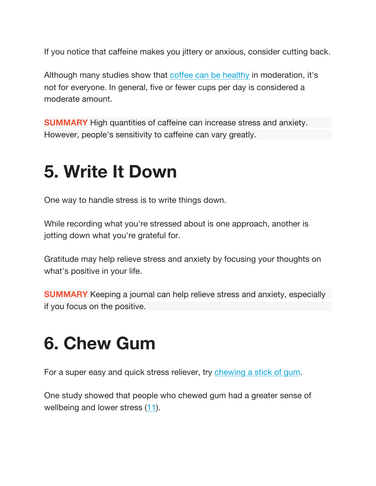If you notice that caffeine makes you jittery or anxious, consider cutting back.

Although many studies show that coffee can be healthy in moderation, it's not for everyone. In general, five or fewer cups per day is considered a moderate amount.

**SUMMARY** High quantities of caffeine can increase stress and anxiety. However, people's sensitivity to caffeine can vary greatly.

#### **5. Write It Down**

One way to handle stress is to write things down.

While recording what you're stressed about is one approach, another is jotting down what you're grateful for.

Gratitude may help relieve stress and anxiety by focusing your thoughts on what's positive in your life.

**SUMMARY** Keeping a journal can help relieve stress and anxiety, especially if you focus on the positive.

#### **6. Chew Gum**

For a super easy and quick stress reliever, try chewing a stick of gum.

One study showed that people who chewed gum had a greater sense of wellbeing and lower stress (11).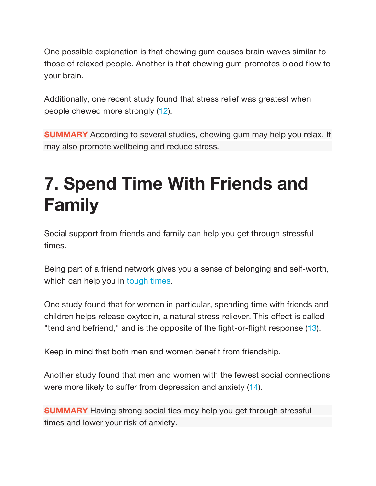One possible explanation is that chewing gum causes brain waves similar to those of relaxed people. Another is that chewing gum promotes blood flow to your brain.

Additionally, one recent study found that stress relief was greatest when people chewed more strongly (12).

**SUMMARY** According to several studies, chewing gum may help you relax. It may also promote wellbeing and reduce stress.

#### **7. Spend Time With Friends and Family**

Social support from friends and family can help you get through stressful times.

Being part of a friend network gives you a sense of belonging and self-worth, which can help you in tough times.

One study found that for women in particular, spending time with friends and children helps release oxytocin, a natural stress reliever. This effect is called "tend and befriend," and is the opposite of the fight-or-flight response (13).

Keep in mind that both men and women benefit from friendship.

Another study found that men and women with the fewest social connections were more likely to suffer from depression and anxiety (14).

**SUMMARY** Having strong social ties may help you get through stressful times and lower your risk of anxiety.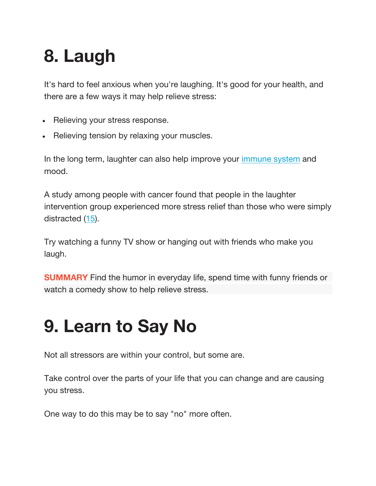## **8. Laugh**

It's hard to feel anxious when you're laughing. It's good for your health, and there are a few ways it may help relieve stress:

- Relieving your stress response.
- Relieving tension by relaxing your muscles.

In the long term, laughter can also help improve your immune system and mood.

A study among people with cancer found that people in the laughter intervention group experienced more stress relief than those who were simply distracted (15).

Try watching a funny TV show or hanging out with friends who make you laugh.

**SUMMARY** Find the humor in everyday life, spend time with funny friends or watch a comedy show to help relieve stress.

### **9. Learn to Say No**

Not all stressors are within your control, but some are.

Take control over the parts of your life that you can change and are causing you stress.

One way to do this may be to say "no" more often.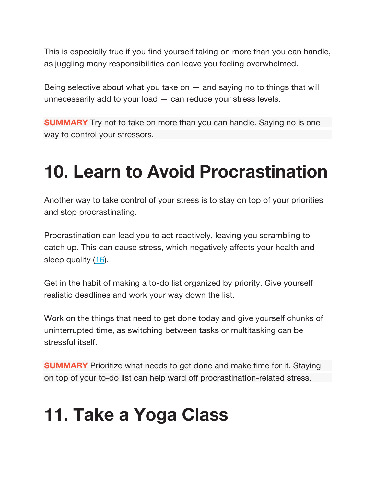This is especially true if you find yourself taking on more than you can handle, as juggling many responsibilities can leave you feeling overwhelmed.

Being selective about what you take on  $-$  and saying no to things that will unnecessarily add to your load — can reduce your stress levels.

**SUMMARY** Try not to take on more than you can handle. Saying no is one way to control your stressors.

#### **10. Learn to Avoid Procrastination**

Another way to take control of your stress is to stay on top of your priorities and stop procrastinating.

Procrastination can lead you to act reactively, leaving you scrambling to catch up. This can cause stress, which negatively affects your health and sleep quality (16).

Get in the habit of making a to-do list organized by priority. Give yourself realistic deadlines and work your way down the list.

Work on the things that need to get done today and give yourself chunks of uninterrupted time, as switching between tasks or multitasking can be stressful itself.

**SUMMARY** Prioritize what needs to get done and make time for it. Staying on top of your to-do list can help ward off procrastination-related stress.

#### **11. Take a Yoga Class**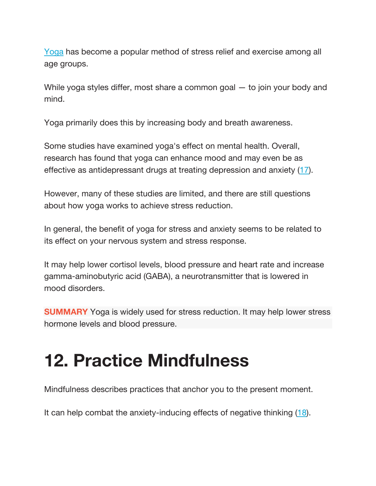Yoga has become a popular method of stress relief and exercise among all age groups.

While yoga styles differ, most share a common goal — to join your body and mind.

Yoga primarily does this by increasing body and breath awareness.

Some studies have examined yoga's effect on mental health. Overall, research has found that yoga can enhance mood and may even be as effective as antidepressant drugs at treating depression and anxiety (17).

However, many of these studies are limited, and there are still questions about how yoga works to achieve stress reduction.

In general, the benefit of yoga for stress and anxiety seems to be related to its effect on your nervous system and stress response.

It may help lower cortisol levels, blood pressure and heart rate and increase gamma-aminobutyric acid (GABA), a neurotransmitter that is lowered in mood disorders.

**SUMMARY** Yoga is widely used for stress reduction. It may help lower stress hormone levels and blood pressure.

## **12. Practice Mindfulness**

Mindfulness describes practices that anchor you to the present moment.

It can help combat the anxiety-inducing effects of negative thinking (18).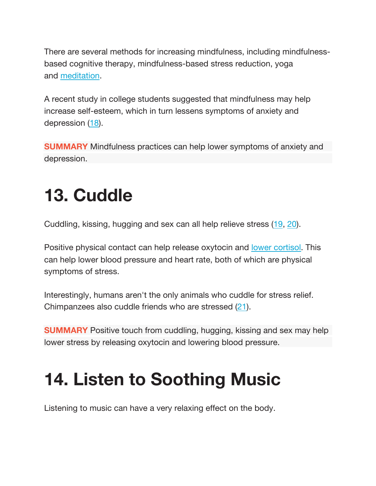There are several methods for increasing mindfulness, including mindfulnessbased cognitive therapy, mindfulness-based stress reduction, yoga and meditation.

A recent study in college students suggested that mindfulness may help increase self-esteem, which in turn lessens symptoms of anxiety and depression (18).

**SUMMARY** Mindfulness practices can help lower symptoms of anxiety and depression.

## **13. Cuddle**

Cuddling, kissing, hugging and sex can all help relieve stress (19, 20).

Positive physical contact can help release oxytocin and lower cortisol. This can help lower blood pressure and heart rate, both of which are physical symptoms of stress.

Interestingly, humans aren't the only animals who cuddle for stress relief. Chimpanzees also cuddle friends who are stressed (21).

**SUMMARY** Positive touch from cuddling, hugging, kissing and sex may help lower stress by releasing oxytocin and lowering blood pressure.

### **14. Listen to Soothing Music**

Listening to music can have a very relaxing effect on the body.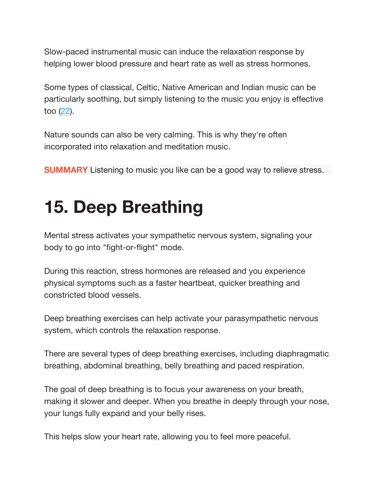Slow-paced instrumental music can induce the relaxation response by helping lower blood pressure and heart rate as well as stress hormones.

Some types of classical, Celtic, Native American and Indian music can be particularly soothing, but simply listening to the music you enjoy is effective too  $(22)$ .

Nature sounds can also be very calming. This is why they're often incorporated into relaxation and meditation music.

**SUMMARY** Listening to music you like can be a good way to relieve stress.

#### **15. Deep Breathing**

Mental stress activates your sympathetic nervous system, signaling your body to go into "fight-or-flight" mode.

During this reaction, stress hormones are released and you experience physical symptoms such as a faster heartbeat, quicker breathing and constricted blood vessels.

Deep breathing exercises can help activate your parasympathetic nervous system, which controls the relaxation response.

There are several types of deep breathing exercises, including diaphragmatic breathing, abdominal breathing, belly breathing and paced respiration.

The goal of deep breathing is to focus your awareness on your breath, making it slower and deeper. When you breathe in deeply through your nose, your lungs fully expand and your belly rises.

This helps slow your heart rate, allowing you to feel more peaceful.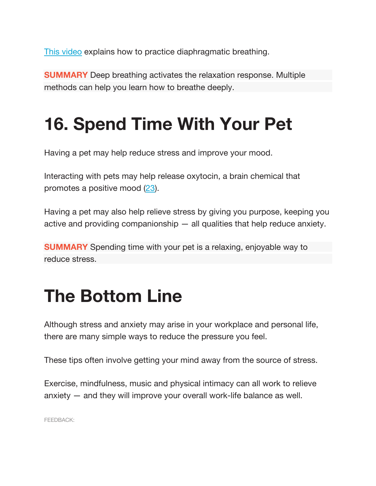This video explains how to practice diaphragmatic breathing.

**SUMMARY** Deep breathing activates the relaxation response. Multiple methods can help you learn how to breathe deeply.

## **16. Spend Time With Your Pet**

Having a pet may help reduce stress and improve your mood.

Interacting with pets may help release oxytocin, a brain chemical that promotes a positive mood (23).

Having a pet may also help relieve stress by giving you purpose, keeping you active and providing companionship — all qualities that help reduce anxiety.

**SUMMARY** Spending time with your pet is a relaxing, enjoyable way to reduce stress.

#### **The Bottom Line**

Although stress and anxiety may arise in your workplace and personal life, there are many simple ways to reduce the pressure you feel.

These tips often involve getting your mind away from the source of stress.

Exercise, mindfulness, music and physical intimacy can all work to relieve anxiety — and they will improve your overall work-life balance as well.

FEEDBACK: